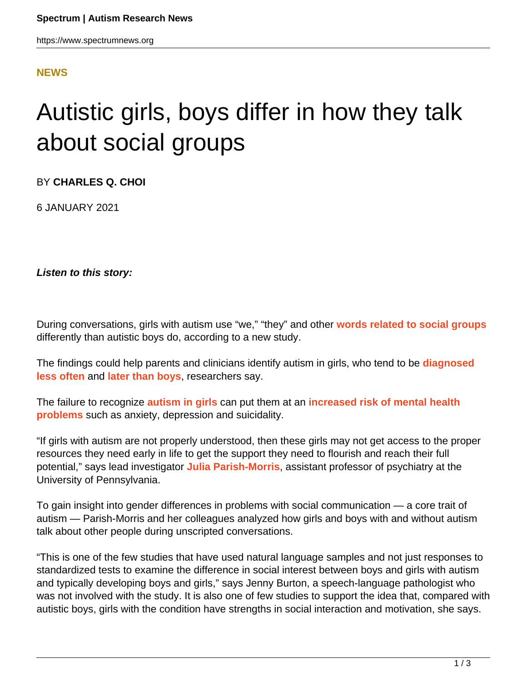## **[NEWS](HTTPS://WWW.SPECTRUMNEWS.ORG/NEWS/)**

## Autistic girls, boys differ in how they talk about social groups

BY **CHARLES Q. CHOI**

6 JANUARY 2021

**Listen to this story:**

During conversations, girls with autism use "we," "they" and other **[words related to social groups](https://doi.org/10.1111/jcpp.13348)** differently than autistic boys do, according to a new study.

The findings could help parents and clinicians identify autism in girls, who tend to be **[diagnosed](https://www.spectrumnews.org/news/diagnosis-eludes-many-girls-with-autism-study-says/) [less often](https://www.spectrumnews.org/news/diagnosis-eludes-many-girls-with-autism-study-says/)** and **[later than boys](https://www.spectrumnews.org/features/deep-dive/the-lost-girls/)**, researchers say.

The failure to recognize **[autism in girls](https://www.spectrumnews.org/opinion/seeking-precise-portraits-of-girls-with-autism/)** can put them at an **[increased risk of mental health](https://www.spectrumnews.org/news/young-girls-autism-psychiatric-problems-boys/) [problems](https://www.spectrumnews.org/news/young-girls-autism-psychiatric-problems-boys/)** such as anxiety, depression and suicidality.

"If girls with autism are not properly understood, then these girls may not get access to the proper resources they need early in life to get the support they need to flourish and reach their full potential," says lead investigator **[Julia Parish-Morris](https://www.med.upenn.edu/apps/faculty/index.php/g332/p8461887)**, assistant professor of psychiatry at the University of Pennsylvania.

To gain insight into gender differences in problems with social communication — a core trait of autism — Parish-Morris and her colleagues analyzed how girls and boys with and without autism talk about other people during unscripted conversations.

"This is one of the few studies that have used natural language samples and not just responses to standardized tests to examine the difference in social interest between boys and girls with autism and typically developing boys and girls," says Jenny Burton, a speech-language pathologist who was not involved with the study. It is also one of few studies to support the idea that, compared with autistic boys, girls with the condition have strengths in social interaction and motivation, she says.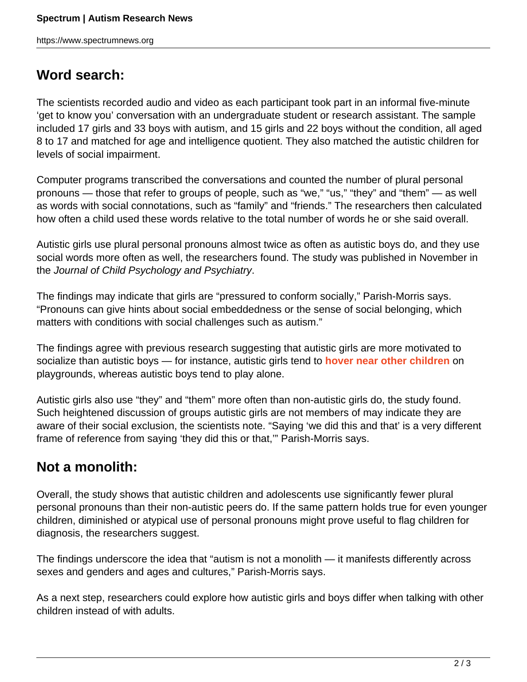## **Word search:**

The scientists recorded audio and video as each participant took part in an informal five-minute 'get to know you' conversation with an undergraduate student or research assistant. The sample included 17 girls and 33 boys with autism, and 15 girls and 22 boys without the condition, all aged 8 to 17 and matched for age and intelligence quotient. They also matched the autistic children for levels of social impairment.

Computer programs transcribed the conversations and counted the number of plural personal pronouns — those that refer to groups of people, such as "we," "us," "they" and "them" — as well as words with social connotations, such as "family" and "friends." The researchers then calculated how often a child used these words relative to the total number of words he or she said overall.

Autistic girls use plural personal pronouns almost twice as often as autistic boys do, and they use social words more often as well, the researchers found. The study was published in November in the Journal of Child Psychology and Psychiatry.

The findings may indicate that girls are "pressured to conform socially," Parish-Morris says. "Pronouns can give hints about social embeddedness or the sense of social belonging, which matters with conditions with social challenges such as autism."

The findings agree with previous research suggesting that autistic girls are more motivated to socialize than autistic boys — for instance, autistic girls tend to **[hover near other children](https://doi.org/10.1177/1362361316671845)** on playgrounds, whereas autistic boys tend to play alone.

Autistic girls also use "they" and "them" more often than non-autistic girls do, the study found. Such heightened discussion of groups autistic girls are not members of may indicate they are aware of their social exclusion, the scientists note. "Saying 'we did this and that' is a very different frame of reference from saying 'they did this or that,'" Parish-Morris says.

## **Not a monolith:**

Overall, the study shows that autistic children and adolescents use significantly fewer plural personal pronouns than their non-autistic peers do. If the same pattern holds true for even younger children, diminished or atypical use of personal pronouns might prove useful to flag children for diagnosis, the researchers suggest.

The findings underscore the idea that "autism is not a monolith — it manifests differently across sexes and genders and ages and cultures," Parish-Morris says.

As a next step, researchers could explore how autistic girls and boys differ when talking with other children instead of with adults.